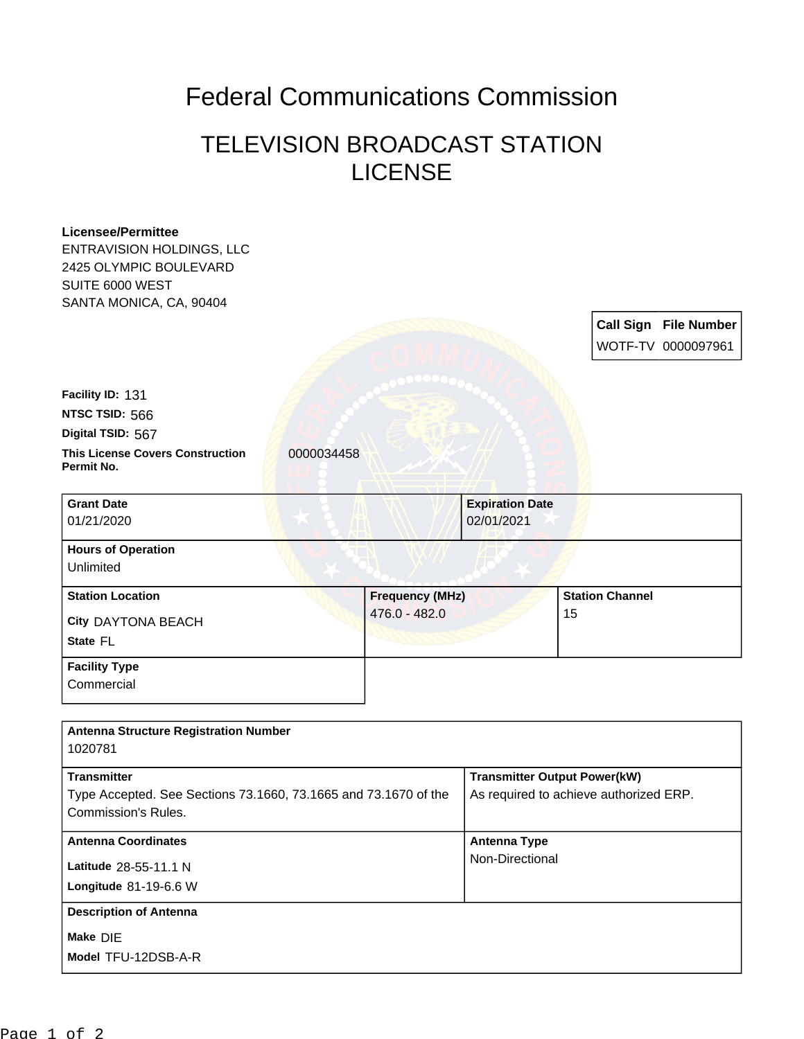## Federal Communications Commission

## TELEVISION BROADCAST STATION LICENSE

| <b>Licensee/Permittee</b><br><b>ENTRAVISION HOLDINGS, LLC</b><br>2425 OLYMPIC BOULEVARD |                        |                                        |                              |
|-----------------------------------------------------------------------------------------|------------------------|----------------------------------------|------------------------------|
| SUITE 6000 WEST                                                                         |                        |                                        |                              |
| SANTA MONICA, CA, 90404                                                                 |                        |                                        | <b>Call Sign File Number</b> |
|                                                                                         |                        |                                        | WOTF-TV 0000097961           |
|                                                                                         |                        |                                        |                              |
| Facility ID: 131                                                                        |                        |                                        |                              |
| NTSC TSID: 566                                                                          |                        |                                        |                              |
| Digital TSID: 567                                                                       |                        |                                        |                              |
| <b>This License Covers Construction</b><br>Permit No.                                   | 0000034458             |                                        |                              |
| <b>Grant Date</b>                                                                       |                        | <b>Expiration Date</b>                 |                              |
| 01/21/2020                                                                              |                        | 02/01/2021                             |                              |
| <b>Hours of Operation</b>                                                               |                        |                                        |                              |
| Unlimited                                                                               |                        |                                        |                              |
| <b>Station Location</b>                                                                 | <b>Frequency (MHz)</b> |                                        | <b>Station Channel</b>       |
| City DAYTONA BEACH                                                                      | 476.0 - 482.0          |                                        | 15                           |
| State FL                                                                                |                        |                                        |                              |
| <b>Facility Type</b>                                                                    |                        |                                        |                              |
| Commercial                                                                              |                        |                                        |                              |
| <b>Antenna Structure Registration Number</b>                                            |                        |                                        |                              |
| 1020781                                                                                 |                        |                                        |                              |
| <b>Transmitter</b>                                                                      |                        | <b>Transmitter Output Power(kW)</b>    |                              |
| Type Accepted. See Sections 73.1660, 73.1665 and 73.1670 of the                         |                        | As required to achieve authorized ERP. |                              |
| Commission's Rules.                                                                     |                        |                                        |                              |
| <b>Antenna Coordinates</b>                                                              |                        | <b>Antenna Type</b>                    |                              |
| Latitude 28-55-11.1 N                                                                   |                        | Non-Directional                        |                              |
| Longitude 81-19-6.6 W                                                                   |                        |                                        |                              |
| <b>Description of Antenna</b>                                                           |                        |                                        |                              |
| Make DIE                                                                                |                        |                                        |                              |
| Model TFU-12DSB-A-R                                                                     |                        |                                        |                              |